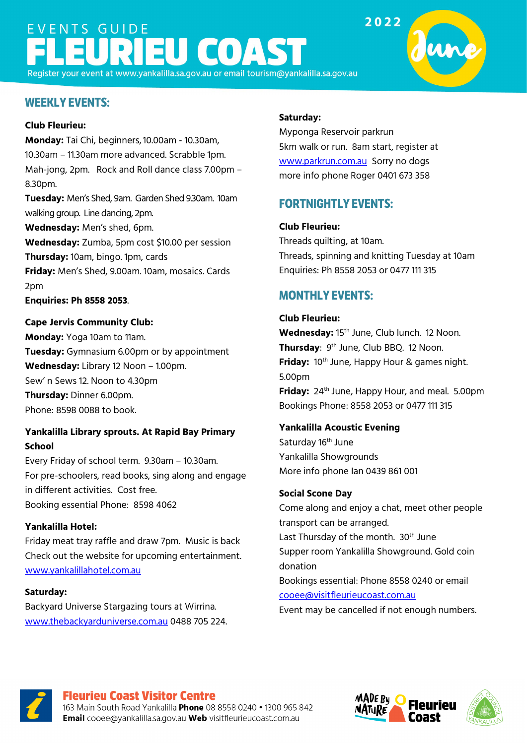# EVENTS GUIDE **IEU COAS**

Register your event at www.yankalilla.sa.gov.au or email tourism@yankalilla.sa.gov.au

## **WEEKLY EVENTS:**

#### **Club Fleurieu:**

**Monday:** Tai Chi, beginners,10.00am - 10.30am, 10.30am – 11.30am more advanced. Scrabble 1pm. Mah-jong, 2pm. Rock and Roll dance class 7.00pm – 8.30pm.

**Tuesday:** Men's Shed, 9am. Garden Shed 9.30am. 10am walking group. Line dancing, 2pm.

**Wednesday:** Men's shed, 6pm.

**Wednesday:** Zumba, 5pm cost \$10.00 per session **Thursday:** 10am, bingo. 1pm, cards

**Friday:** Men's Shed, 9.00am. 10am, mosaics. Cards 2pm

**Enquiries: Ph 8558 2053**.

#### **Cape Jervis Community Club:**

**Monday:** Yoga 10am to 11am. **Tuesday:** Gymnasium 6.00pm or by appointment **Wednesday:** Library 12 Noon – 1.00pm. Sew' n Sews 12. Noon to 4.30pm **Thursday:** Dinner 6.00pm. Phone: 8598 0088 to book.

#### **Yankalilla Library sprouts. At Rapid Bay Primary School**

Every Friday of school term. 9.30am – 10.30am. For pre-schoolers, read books, sing along and engage in different activities. Cost free. Booking essential Phone: 8598 4062

#### **Yankalilla Hotel:**

Friday meat tray raffle and draw 7pm. Music is back Check out the website for upcoming entertainment. [www.yankalillahotel.com.au](http://www.yankalillahotel.com.au/)

#### **Saturday:**

Backyard Universe Stargazing tours at Wirrina. [www.thebackyarduniverse.com.au](http://www.thebackyarduniverse.com.au/) 0488 705 224.

#### **Saturday:**

Myponga Reservoir parkrun 5km walk or run. 8am start, register at [www.parkrun.com.au](http://www.parkrun.com.au/) Sorry no dogs more info phone Roger 0401 673 358

# **FORTNIGHTLY EVENTS:**

#### **Club Fleurieu:**

Threads quilting, at 10am. Threads, spinning and knitting Tuesday at 10am Enquiries: Ph 8558 2053 or 0477 111 315

# **MONTHLY EVENTS:**

#### **Club Fleurieu:**

Wednesday: 15<sup>th</sup> June, Club lunch. 12 Noon. **Thursday**: 9th June, Club BBQ. 12 Noon. **Friday:** 10th June, Happy Hour & games night. 5.00pm **Friday:** 24<sup>th</sup> June, Happy Hour, and meal. 5.00pm Bookings Phone: 8558 2053 or 0477 111 315

#### **Yankalilla Acoustic Evening**

Saturday 16<sup>th</sup> June Yankalilla Showgrounds More info phone Ian 0439 861 001

#### **Social Scone Day**

Come along and enjoy a chat, meet other people transport can be arranged. Last Thursday of the month. 30<sup>th</sup> June Supper room Yankalilla Showground. Gold coin donation Bookings essential: Phone 8558 0240 or email [cooee@visitfleurieucoast.com.au](mailto:cooee@visitfleurieucoast.com.au)

Event may be cancelled if not enough numbers.



#### **Fleurieu Coast Visitor Centre**

163 Main South Road Yankalilla Phone 08 8558 0240 . 1300 965 842 Email cooee@yankalilla.sa.gov.au Web visitfleurieucoast.com.au